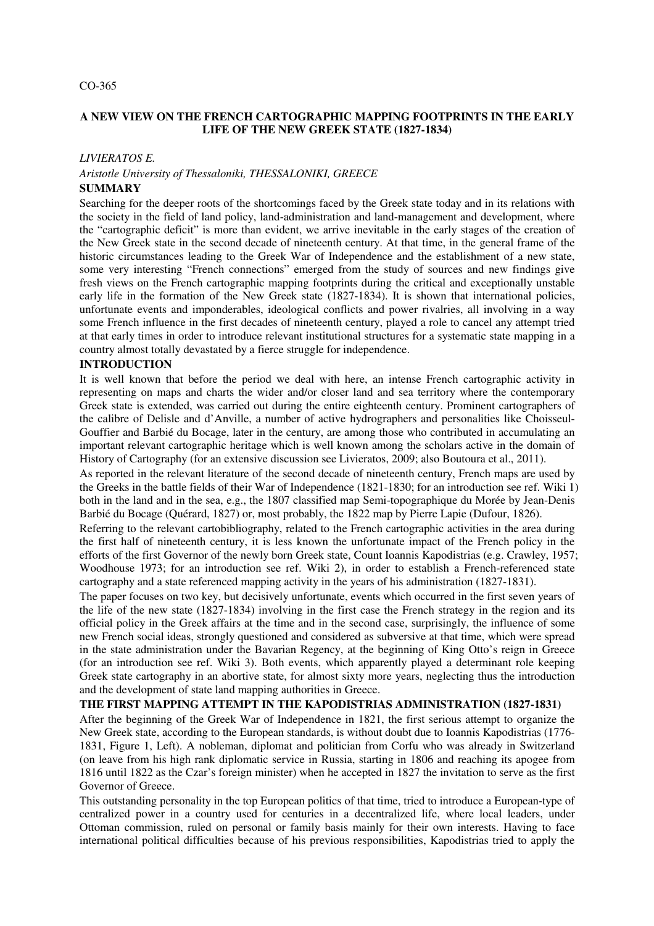#### CO-365

## **A NEW VIEW ON THE FRENCH CARTOGRAPHIC MAPPING FOOTPRINTS IN THE EARLY LIFE OF THE NEW GREEK STATE (1827-1834)**

#### *LIVIERATOS E.*

# *Aristotle University of Thessaloniki, THESSALONIKI, GREECE*

# **SUMMARY**

Searching for the deeper roots of the shortcomings faced by the Greek state today and in its relations with the society in the field of land policy, land-administration and land-management and development, where the "cartographic deficit" is more than evident, we arrive inevitable in the early stages of the creation of the New Greek state in the second decade of nineteenth century. At that time, in the general frame of the historic circumstances leading to the Greek War of Independence and the establishment of a new state, some very interesting "French connections" emerged from the study of sources and new findings give fresh views on the French cartographic mapping footprints during the critical and exceptionally unstable early life in the formation of the New Greek state (1827-1834). It is shown that international policies, unfortunate events and imponderables, ideological conflicts and power rivalries, all involving in a way some French influence in the first decades of nineteenth century, played a role to cancel any attempt tried at that early times in order to introduce relevant institutional structures for a systematic state mapping in a country almost totally devastated by a fierce struggle for independence.

## **INTRODUCTION**

It is well known that before the period we deal with here, an intense French cartographic activity in representing on maps and charts the wider and/or closer land and sea territory where the contemporary Greek state is extended, was carried out during the entire eighteenth century. Prominent cartographers of the calibre of Delisle and d'Anville, a number of active hydrographers and personalities like Choisseul-Gouffier and Barbié du Bocage, later in the century, are among those who contributed in accumulating an important relevant cartographic heritage which is well known among the scholars active in the domain of History of Cartography (for an extensive discussion see Livieratos, 2009; also Boutoura et al., 2011).

As reported in the relevant literature of the second decade of nineteenth century, French maps are used by the Greeks in the battle fields of their War of Independence (1821-1830; for an introduction see ref. Wiki 1) both in the land and in the sea, e.g., the 1807 classified map Semi-topographique du Morée by Jean-Denis Barbié du Bocage (Quérard, 1827) or, most probably, the 1822 map by Pierre Lapie (Dufour, 1826).

Referring to the relevant cartobibliography, related to the French cartographic activities in the area during the first half of nineteenth century, it is less known the unfortunate impact of the French policy in the efforts of the first Governor of the newly born Greek state, Count Ioannis Kapodistrias (e.g. Crawley, 1957; Woodhouse 1973; for an introduction see ref. Wiki 2), in order to establish a French-referenced state cartography and a state referenced mapping activity in the years of his administration (1827-1831).

The paper focuses on two key, but decisively unfortunate, events which occurred in the first seven years of the life of the new state (1827-1834) involving in the first case the French strategy in the region and its official policy in the Greek affairs at the time and in the second case, surprisingly, the influence of some new French social ideas, strongly questioned and considered as subversive at that time, which were spread in the state administration under the Bavarian Regency, at the beginning of King Otto's reign in Greece (for an introduction see ref. Wiki 3). Both events, which apparently played a determinant role keeping Greek state cartography in an abortive state, for almost sixty more years, neglecting thus the introduction and the development of state land mapping authorities in Greece.

## **THE FIRST MAPPING ATTEMPT IN THE KAPODISTRIAS ADMINISTRATION (1827-1831)**

After the beginning of the Greek War of Independence in 1821, the first serious attempt to organize the New Greek state, according to the European standards, is without doubt due to Ioannis Kapodistrias (1776- 1831, Figure 1, Left). A nobleman, diplomat and politician from Corfu who was already in Switzerland (on leave from his high rank diplomatic service in Russia, starting in 1806 and reaching its apogee from 1816 until 1822 as the Czar's foreign minister) when he accepted in 1827 the invitation to serve as the first Governor of Greece.

This outstanding personality in the top European politics of that time, tried to introduce a European-type of centralized power in a country used for centuries in a decentralized life, where local leaders, under Ottoman commission, ruled on personal or family basis mainly for their own interests. Having to face international political difficulties because of his previous responsibilities, Kapodistrias tried to apply the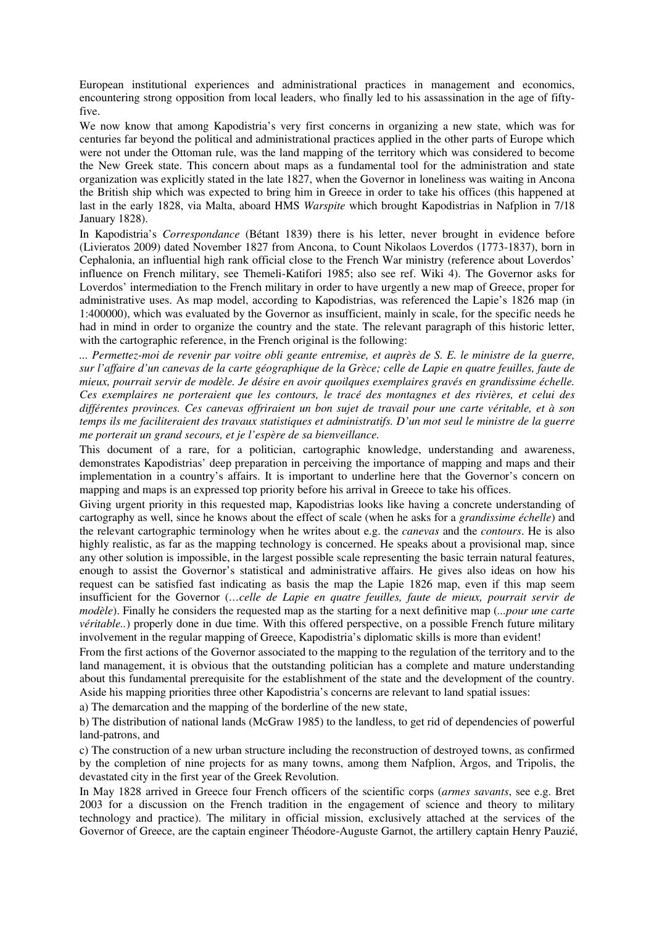European institutional experiences and administrational practices in management and economics, encountering strong opposition from local leaders, who finally led to his assassination in the age of fiftyfive.

We now know that among Kapodistria's very first concerns in organizing a new state, which was for centuries far beyond the political and administrational practices applied in the other parts of Europe which were not under the Ottoman rule, was the land mapping of the territory which was considered to become the New Greek state. This concern about maps as a fundamental tool for the administration and state organization was explicitly stated in the late 1827, when the Governor in loneliness was waiting in Ancona the British ship which was expected to bring him in Greece in order to take his offices (this happened at last in the early 1828, via Malta, aboard HMS *Warspite* which brought Kapodistrias in Nafplion in 7/18 January 1828).

In Kapodistria's *Correspondance* (Bétant 1839) there is his letter, never brought in evidence before (Livieratos 2009) dated November 1827 from Ancona, to Count Nikolaos Loverdos (1773-1837), born in Cephalonia, an influential high rank official close to the French War ministry (reference about Loverdos' influence on French military, see Themeli-Katifori 1985; also see ref. Wiki 4). The Governor asks for Loverdos' intermediation to the French military in order to have urgently a new map of Greece, proper for administrative uses. As map model, according to Kapodistrias, was referenced the Lapie's 1826 map (in 1:400000), which was evaluated by the Governor as insufficient, mainly in scale, for the specific needs he had in mind in order to organize the country and the state. The relevant paragraph of this historic letter, with the cartographic reference, in the French original is the following:

*... Permettez-moi de revenir par voitre obli geante entremise, et auprès de S. E. le ministre de la guerre, sur l'affaire d'un canevas de la carte géographique de la Grèce; celle de Lapie en quatre feuilles, faute de mieux, pourrait servir de modèle. Je désire en avoir quoilques exemplaires gravés en grandissime échelle. Ces exemplaires ne porteraient que les contours, le tracé des montagnes et des rivières, et celui des différentes provinces. Ces canevas offriraient un bon sujet de travail pour une carte véritable, et à son temps ils me faciliteraient des travaux statistiques et administratifs. D'un mot seul le ministre de la guerre me porterait un grand secours, et je l'espère de sa bienveillance.*

This document of a rare, for a politician, cartographic knowledge, understanding and awareness, demonstrates Kapodistrias' deep preparation in perceiving the importance of mapping and maps and their implementation in a country's affairs. It is important to underline here that the Governor's concern on mapping and maps is an expressed top priority before his arrival in Greece to take his offices.

Giving urgent priority in this requested map, Kapodistrias looks like having a concrete understanding of cartography as well, since he knows about the effect of scale (when he asks for a *grandissime échelle*) and the relevant cartographic terminology when he writes about e.g. the *canevas* and the *contours*. He is also highly realistic, as far as the mapping technology is concerned. He speaks about a provisional map, since any other solution is impossible, in the largest possible scale representing the basic terrain natural features, enough to assist the Governor's statistical and administrative affairs. He gives also ideas on how his request can be satisfied fast indicating as basis the map the Lapie 1826 map, even if this map seem insufficient for the Governor (*…celle de Lapie en quatre feuilles, faute de mieux, pourrait servir de modèle*). Finally he considers the requested map as the starting for a next definitive map (*...pour une carte véritable..*) properly done in due time. With this offered perspective, on a possible French future military involvement in the regular mapping of Greece, Kapodistria's diplomatic skills is more than evident!

From the first actions of the Governor associated to the mapping to the regulation of the territory and to the land management, it is obvious that the outstanding politician has a complete and mature understanding about this fundamental prerequisite for the establishment of the state and the development of the country. Aside his mapping priorities three other Kapodistria's concerns are relevant to land spatial issues:

a) The demarcation and the mapping of the borderline of the new state,

b) The distribution of national lands (McGraw 1985) to the landless, to get rid of dependencies of powerful land-patrons, and

c) The construction of a new urban structure including the reconstruction of destroyed towns, as confirmed by the completion of nine projects for as many towns, among them Nafplion, Argos, and Tripolis, the devastated city in the first year of the Greek Revolution.

In May 1828 arrived in Greece four French officers of the scientific corps (*armes savants*, see e.g. Bret 2003 for a discussion on the French tradition in the engagement of science and theory to military technology and practice). The military in official mission, exclusively attached at the services of the Governor of Greece, are the captain engineer Théodore-Auguste Garnot, the artillery captain Henry Pauzié,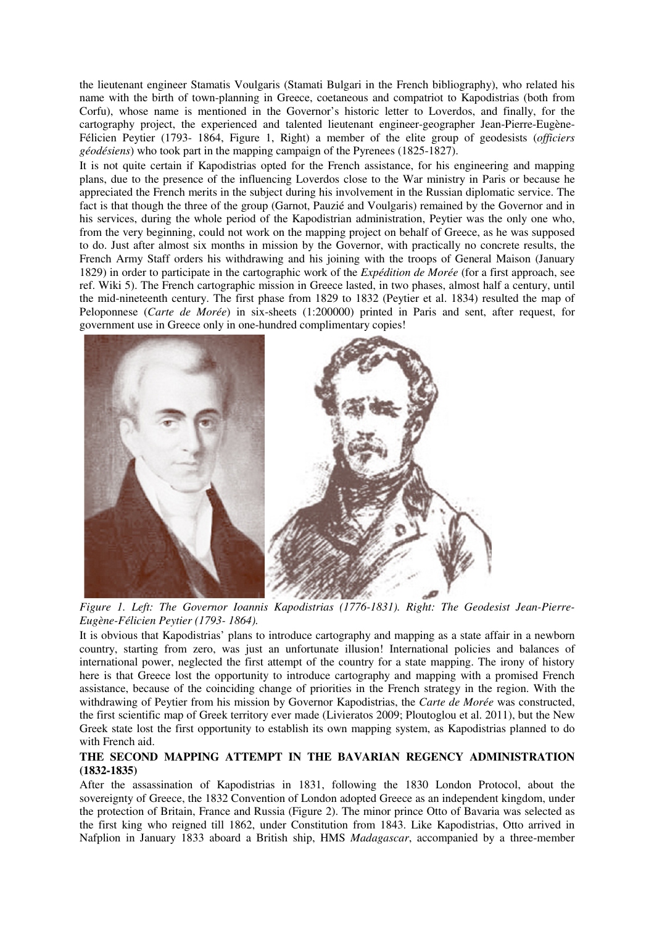the lieutenant engineer Stamatis Voulgaris (Stamati Bulgari in the French bibliography), who related his name with the birth of town-planning in Greece, coetaneous and compatriot to Kapodistrias (both from Corfu), whose name is mentioned in the Governor's historic letter to Loverdos, and finally, for the cartography project, the experienced and talented lieutenant engineer-geographer Jean-Pierre-Eugène-Félicien Peytier (1793- 1864, Figure 1, Right) a member of the elite group of geodesists (*officiers géodésiens*) who took part in the mapping campaign of the Pyrenees (1825-1827).

It is not quite certain if Kapodistrias opted for the French assistance, for his engineering and mapping plans, due to the presence of the influencing Loverdos close to the War ministry in Paris or because he appreciated the French merits in the subject during his involvement in the Russian diplomatic service. The fact is that though the three of the group (Garnot, Pauzié and Voulgaris) remained by the Governor and in his services, during the whole period of the Kapodistrian administration, Peytier was the only one who, from the very beginning, could not work on the mapping project on behalf of Greece, as he was supposed to do. Just after almost six months in mission by the Governor, with practically no concrete results, the French Army Staff orders his withdrawing and his joining with the troops of General Maison (January 1829) in order to participate in the cartographic work of the *Expédition de Morée* (for a first approach, see ref. Wiki 5). The French cartographic mission in Greece lasted, in two phases, almost half a century, until the mid-nineteenth century. The first phase from 1829 to 1832 (Peytier et al. 1834) resulted the map of Peloponnese (*Carte de Morée*) in six-sheets (1:200000) printed in Paris and sent, after request, for government use in Greece only in one-hundred complimentary copies!



*Figure 1. Left: The Governor Ioannis Kapodistrias (1776-1831). Right: The Geodesist Jean-Pierre-Eugène-Félicien Peytier (1793- 1864).*

It is obvious that Kapodistrias' plans to introduce cartography and mapping as a state affair in a newborn country, starting from zero, was just an unfortunate illusion! International policies and balances of international power, neglected the first attempt of the country for a state mapping. The irony of history here is that Greece lost the opportunity to introduce cartography and mapping with a promised French assistance, because of the coinciding change of priorities in the French strategy in the region. With the withdrawing of Peytier from his mission by Governor Kapodistrias, the *Carte de Morée* was constructed, the first scientific map of Greek territory ever made (Livieratos 2009; Ploutoglou et al. 2011), but the New Greek state lost the first opportunity to establish its own mapping system, as Kapodistrias planned to do with French aid.

## **THE SECOND MAPPING ATTEMPT IN THE BAVARIAN REGENCY ADMINISTRATION (1832-1835)**

After the assassination of Kapodistrias in 1831, following the 1830 London Protocol, about the sovereignty of Greece, the 1832 Convention of London adopted Greece as an independent kingdom, under the protection of Britain, France and Russia (Figure 2). The minor prince Otto of Bavaria was selected as the first king who reigned till 1862, under Constitution from 1843. Like Kapodistrias, Otto arrived in Nafplion in January 1833 aboard a British ship, HMS *Madagascar*, accompanied by a three-member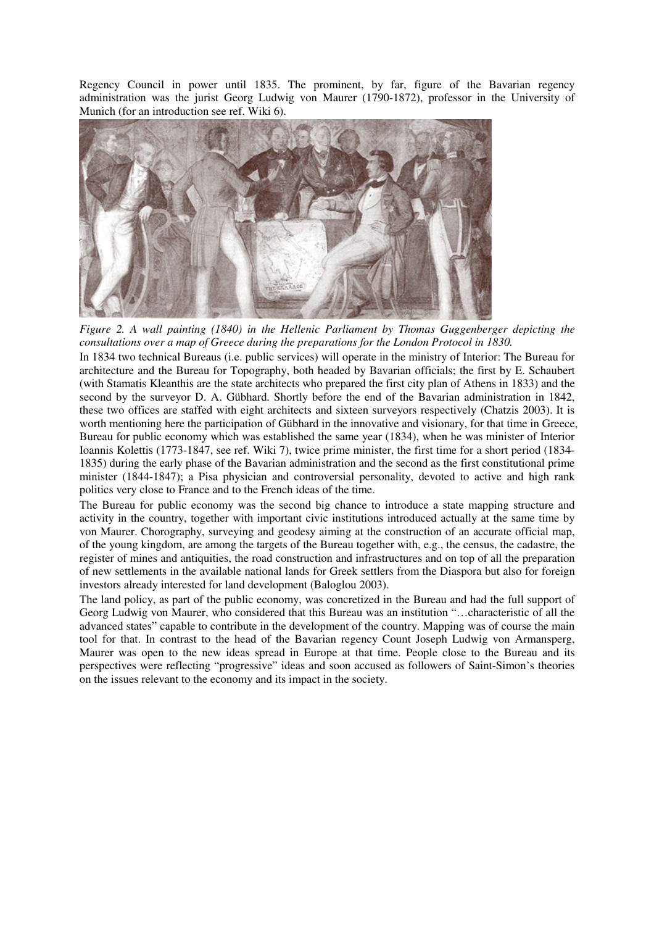Regency Council in power until 1835. The prominent, by far, figure of the Bavarian regency administration was the jurist Georg Ludwig von Maurer (1790-1872), professor in the University of Munich (for an introduction see ref. Wiki 6).



*Figure 2. A wall painting (1840) in the Hellenic Parliament by Thomas Guggenberger depicting the consultations over a map of Greece during the preparations for the London Protocol in 1830.*

In 1834 two technical Bureaus (i.e. public services) will operate in the ministry of Interior: The Bureau for architecture and the Bureau for Topography, both headed by Bavarian officials; the first by E. Schaubert (with Stamatis Kleanthis are the state architects who prepared the first city plan of Athens in 1833) and the second by the surveyor D. A. Gübhard. Shortly before the end of the Bavarian administration in 1842, these two offices are staffed with eight architects and sixteen surveyors respectively (Chatzis 2003). It is worth mentioning here the participation of Gübhard in the innovative and visionary, for that time in Greece, Bureau for public economy which was established the same year (1834), when he was minister of Interior Ioannis Kolettis (1773-1847, see ref. Wiki 7), twice prime minister, the first time for a short period (1834- 1835) during the early phase of the Bavarian administration and the second as the first constitutional prime minister (1844-1847); a Pisa physician and controversial personality, devoted to active and high rank politics very close to France and to the French ideas of the time.

The Bureau for public economy was the second big chance to introduce a state mapping structure and activity in the country, together with important civic institutions introduced actually at the same time by von Maurer. Chorography, surveying and geodesy aiming at the construction of an accurate official map, of the young kingdom, are among the targets of the Bureau together with, e.g., the census, the cadastre, the register of mines and antiquities, the road construction and infrastructures and on top of all the preparation of new settlements in the available national lands for Greek settlers from the Diaspora but also for foreign investors already interested for land development (Baloglou 2003).

The land policy, as part of the public economy, was concretized in the Bureau and had the full support of Georg Ludwig von Maurer, who considered that this Bureau was an institution "…characteristic of all the advanced states" capable to contribute in the development of the country. Mapping was of course the main tool for that. In contrast to the head of the Bavarian regency Count Joseph Ludwig von Armansperg, Maurer was open to the new ideas spread in Europe at that time. People close to the Bureau and its perspectives were reflecting "progressive" ideas and soon accused as followers of Saint-Simon's theories on the issues relevant to the economy and its impact in the society.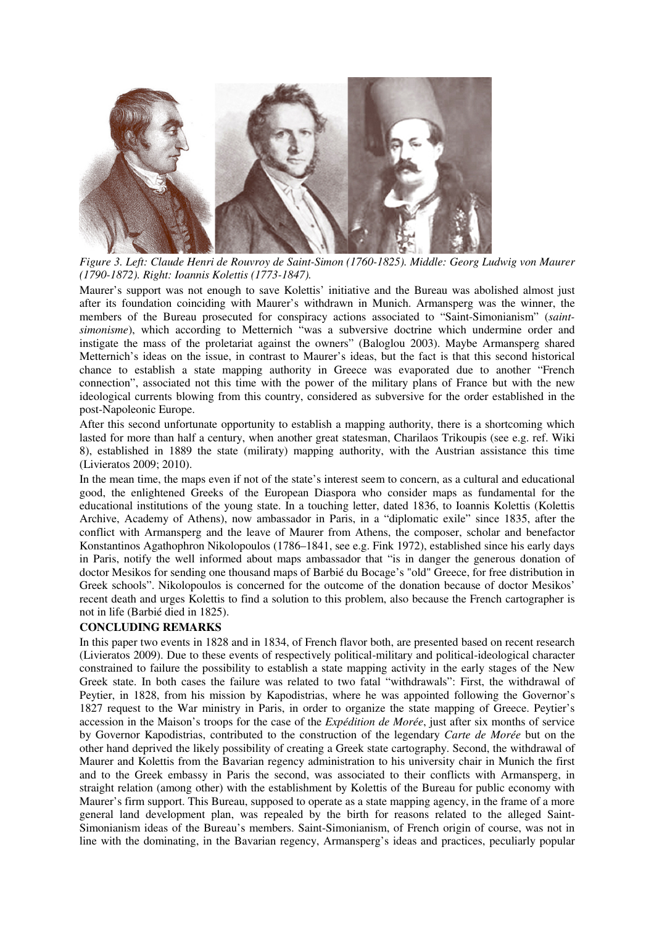

*Figure 3. Left: Claude Henri de Rouvroy de Saint-Simon (1760-1825). Middle: Georg Ludwig von Maurer (1790-1872). Right: Ioannis Kolettis (1773-1847).*

Maurer's support was not enough to save Kolettis' initiative and the Bureau was abolished almost just after its foundation coinciding with Maurer's withdrawn in Munich. Armansperg was the winner, the members of the Bureau prosecuted for conspiracy actions associated to "Saint-Simonianism" (*saintsimonisme*), which according to Metternich "was a subversive doctrine which undermine order and instigate the mass of the proletariat against the owners" (Baloglou 2003). Maybe Armansperg shared Metternich's ideas on the issue, in contrast to Maurer's ideas, but the fact is that this second historical chance to establish a state mapping authority in Greece was evaporated due to another "French connection", associated not this time with the power of the military plans of France but with the new ideological currents blowing from this country, considered as subversive for the order established in the post-Napoleonic Europe.

After this second unfortunate opportunity to establish a mapping authority, there is a shortcoming which lasted for more than half a century, when another great statesman, Charilaos Trikoupis (see e.g. ref. Wiki 8), established in 1889 the state (miliraty) mapping authority, with the Austrian assistance this time (Livieratos 2009; 2010).

In the mean time, the maps even if not of the state's interest seem to concern, as a cultural and educational good, the enlightened Greeks of the European Diaspora who consider maps as fundamental for the educational institutions of the young state. In a touching letter, dated 1836, to Ioannis Kolettis (Kolettis Archive, Academy of Athens), now ambassador in Paris, in a "diplomatic exile" since 1835, after the conflict with Armansperg and the leave of Maurer from Athens, the composer, scholar and benefactor Konstantinos Agathophron Nikolopoulos (1786–1841, see e.g. Fink 1972), established since his early days in Paris, notify the well informed about maps ambassador that "is in danger the generous donation of doctor Mesikos for sending one thousand maps of Barbié du Bocage's "old" Greece, for free distribution in Greek schools". Nikolopoulos is concerned for the outcome of the donation because of doctor Mesikos' recent death and urges Kolettis to find a solution to this problem, also because the French cartographer is not in life (Barbié died in 1825).

#### **CONCLUDING REMARKS**

In this paper two events in 1828 and in 1834, of French flavor both, are presented based on recent research (Livieratos 2009). Due to these events of respectively political-military and political-ideological character constrained to failure the possibility to establish a state mapping activity in the early stages of the New Greek state. In both cases the failure was related to two fatal "withdrawals": First, the withdrawal of Peytier, in 1828, from his mission by Kapodistrias, where he was appointed following the Governor's 1827 request to the War ministry in Paris, in order to organize the state mapping of Greece. Peytier's accession in the Maison's troops for the case of the *Expédition de Morée*, just after six months of service by Governor Kapodistrias, contributed to the construction of the legendary *Carte de Morée* but on the other hand deprived the likely possibility of creating a Greek state cartography. Second, the withdrawal of Maurer and Kolettis from the Bavarian regency administration to his university chair in Munich the first and to the Greek embassy in Paris the second, was associated to their conflicts with Armansperg, in straight relation (among other) with the establishment by Kolettis of the Bureau for public economy with Maurer's firm support. This Bureau, supposed to operate as a state mapping agency, in the frame of a more general land development plan, was repealed by the birth for reasons related to the alleged Saint-Simonianism ideas of the Bureau's members. Saint-Simonianism, of French origin of course, was not in line with the dominating, in the Bavarian regency, Armansperg's ideas and practices, peculiarly popular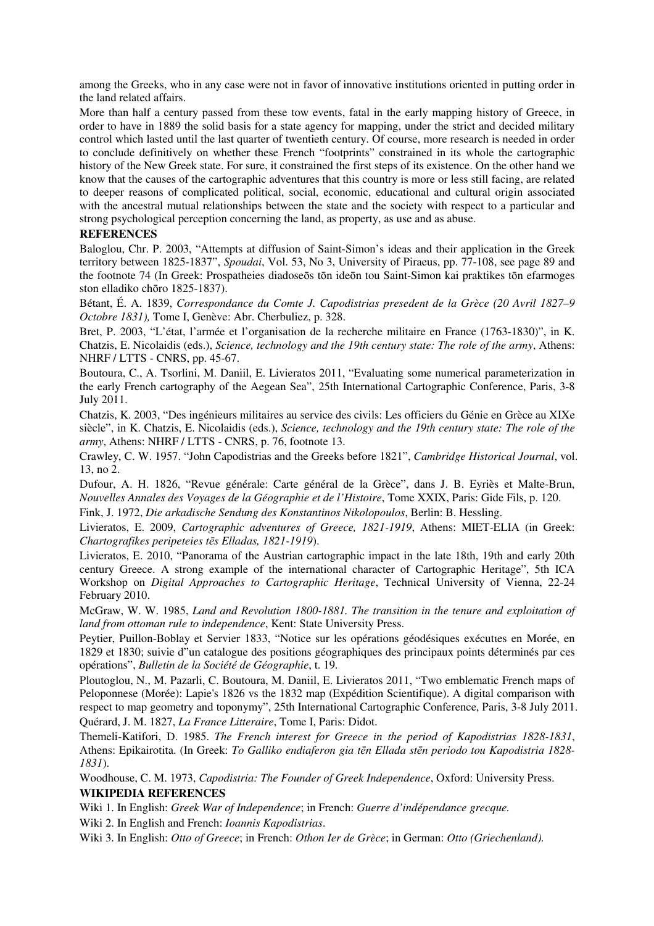among the Greeks, who in any case were not in favor of innovative institutions oriented in putting order in the land related affairs.

More than half a century passed from these tow events, fatal in the early mapping history of Greece, in order to have in 1889 the solid basis for a state agency for mapping, under the strict and decided military control which lasted until the last quarter of twentieth century. Of course, more research is needed in order to conclude definitively on whether these French "footprints" constrained in its whole the cartographic history of the New Greek state. For sure, it constrained the first steps of its existence. On the other hand we know that the causes of the cartographic adventures that this country is more or less still facing, are related to deeper reasons of complicated political, social, economic, educational and cultural origin associated with the ancestral mutual relationships between the state and the society with respect to a particular and strong psychological perception concerning the land, as property, as use and as abuse.

## **REFERENCES**

Baloglou, Chr. P. 2003, "Attempts at diffusion of Saint-Simon's ideas and their application in the Greek territory between 1825-1837", *Spoudai*, Vol. 53, No 3, University of Piraeus, pp. 77-108, see page 89 and the footnote 74 (In Greek: Prospatheies diadoseōs tōn ideōn tou Saint-Simon kai praktikes tōn efarmoges ston elladiko chōro 1825-1837).

Bétant, É. A. 1839, *Correspondance du Comte J. Capodistrias presedent de la Grèce (20 Avril 1827–9 Octobre 1831),* Tome I, Genève: Abr. Cherbuliez, p. 328.

Bret, P. 2003, "L'état, l'armée et l'organisation de la recherche militaire en France (1763-1830)", in K. Chatzis, E. Nicolaidis (eds.), *Science, technology and the 19th century state: The role of the army*, Athens: NHRF / LTTS - CNRS, pp. 45-67.

Boutoura, C., A. Tsorlini, M. Daniil, E. Livieratos 2011, "Evaluating some numerical parameterization in the early French cartography of the Aegean Sea", 25th International Cartographic Conference, Paris, 3-8 July 2011.

Chatzis, K. 2003, "Des ingénieurs militaires au service des civils: Les officiers du Génie en Grèce au XIXe siècle", in K. Chatzis, E. Nicolaidis (eds.), *Science, technology and the 19th century state: The role of the army*, Athens: NHRF / LTTS - CNRS, p. 76, footnote 13.

Crawley, C. W. 1957. "John Capodistrias and the Greeks before 1821", *Cambridge Historical Journal*, vol. 13, no 2.

Dufour, A. H. 1826, "Revue générale: Carte général de la Grèce", dans J. B. Eyriès et Malte-Brun, *Nouvelles Annales des Voyages de la Géographie et de l'Histoire*, Tome XXIX, Paris: Gide Fils, p. 120.

Fink, J. 1972, *Die arkadische Sendung des Konstantinos Nikolopoulos*, Berlin: B. Hessling.

Livieratos, E. 2009, *Cartographic adventures of Greece, 1821-1919*, Athens: MIET-ELIA (in Greek: *Chartografikes peripeteies t*ē*s Elladas, 1821-1919*).

Livieratos, E. 2010, "Panorama of the Austrian cartographic impact in the late 18th, 19th and early 20th century Greece. A strong example of the international character of Cartographic Heritage", 5th ICA Workshop on *Digital Approaches to Cartographic Heritage*, Technical University of Vienna, 22-24 February 2010.

McGraw, W. W. 1985, *Land and Revolution 1800-1881. The transition in the tenure and exploitation of land from ottoman rule to independence*, Kent: State University Press.

Peytier, Puillon-Boblay et Servier 1833, "Notice sur les opérations géodésiques exécutιes en Morée, en 1829 et 1830; suivie d"un catalogue des positions géographiques des principaux points déterminés par ces opérations", *Bulletin de la Société de Géographie*, t. 19.

Ploutoglou, N., M. Pazarli, C. Boutoura, M. Daniil, E. Livieratos 2011, "Two emblematic French maps of Peloponnese (Morée): Lapie's 1826 vs the 1832 map (Expédition Scientifique). A digital comparison with respect to map geometry and toponymy", 25th International Cartographic Conference, Paris, 3-8 July 2011. Quérard, J. M. 1827, *La France Litteraire*, Tome I, Paris: Didot.

Themeli-Katifori, D. 1985. *The French interest for Greece in the period of Kapodistrias 1828-1831*, Athens: Epikairotita. (In Greek: *To Galliko endiaferon gia t*ē*n Ellada st*ē*n periodo tou Kapodistria 1828- 1831*).

Woodhouse, C. M. 1973, *Capodistria: The Founder of Greek Independence*, Oxford: University Press. **WIKIPEDIA REFERENCES**

Wiki 1. In English: *Greek War of Independence*; in French: *Guerre d'indépendance grecque.*

Wiki 2. In English and French: *Ioannis Kapodistrias*.

Wiki 3. In English: *Otto of Greece*; in French: *Othon Ier de Grèce*; in German: *Otto (Griechenland).*